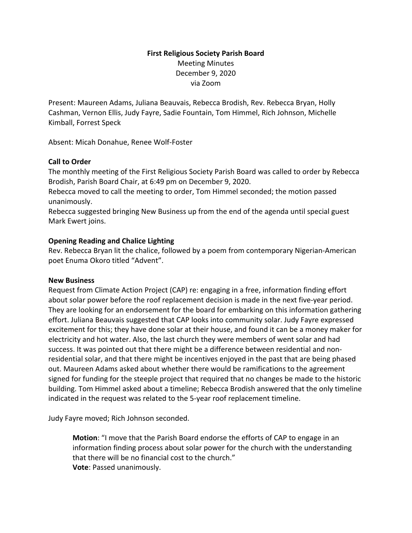# **First Religious Society Parish Board** Meeting Minutes December 9, 2020 via Zoom

Present: Maureen Adams, Juliana Beauvais, Rebecca Brodish, Rev. Rebecca Bryan, Holly Cashman, Vernon Ellis, Judy Fayre, Sadie Fountain, Tom Himmel, Rich Johnson, Michelle Kimball, Forrest Speck

Absent: Micah Donahue, Renee Wolf-Foster

### **Call to Order**

The monthly meeting of the First Religious Society Parish Board was called to order by Rebecca Brodish, Parish Board Chair, at 6:49 pm on December 9, 2020.

Rebecca moved to call the meeting to order, Tom Himmel seconded; the motion passed unanimously.

Rebecca suggested bringing New Business up from the end of the agenda until special guest Mark Ewert joins.

# **Opening Reading and Chalice Lighting**

Rev. Rebecca Bryan lit the chalice, followed by a poem from contemporary Nigerian-American poet Enuma Okoro titled "Advent".

### **New Business**

Request from Climate Action Project (CAP) re: engaging in a free, information finding effort about solar power before the roof replacement decision is made in the next five-year period. They are looking for an endorsement for the board for embarking on this information gathering effort. Juliana Beauvais suggested that CAP looks into community solar. Judy Fayre expressed excitement for this; they have done solar at their house, and found it can be a money maker for electricity and hot water. Also, the last church they were members of went solar and had success. It was pointed out that there might be a difference between residential and nonresidential solar, and that there might be incentives enjoyed in the past that are being phased out. Maureen Adams asked about whether there would be ramifications to the agreement signed for funding for the steeple project that required that no changes be made to the historic building. Tom Himmel asked about a timeline; Rebecca Brodish answered that the only timeline indicated in the request was related to the 5-year roof replacement timeline.

Judy Fayre moved; Rich Johnson seconded.

**Motion**: "I move that the Parish Board endorse the efforts of CAP to engage in an information finding process about solar power for the church with the understanding that there will be no financial cost to the church." **Vote**: Passed unanimously.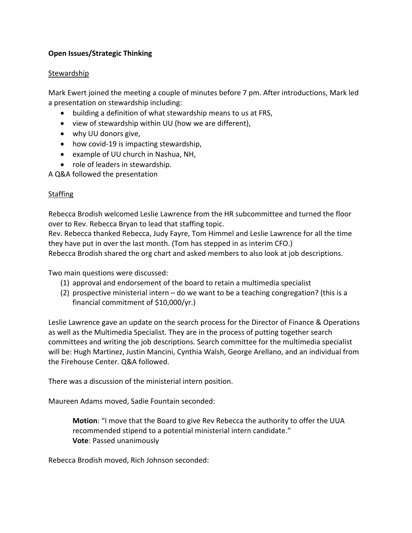# **Open Issues/Strategic Thinking**

### Stewardship

Mark Ewert joined the meeting a couple of minutes before 7 pm. After introductions, Mark led a presentation on stewardship including:

- building a definition of what stewardship means to us at FRS,
- view of stewardship within UU (how we are different),
- why UU donors give,
- how covid-19 is impacting stewardship,
- example of UU church in Nashua, NH,
- role of leaders in stewardship.

A Q&A followed the presentation

### Staffing

Rebecca Brodish welcomed Leslie Lawrence from the HR subcommittee and turned the floor over to Rev. Rebecca Bryan to lead that staffing topic.

Rev. Rebecca thanked Rebecca, Judy Fayre, Tom Himmel and Leslie Lawrence for all the time they have put in over the last month. (Tom has stepped in as interim CFO.)

Rebecca Brodish shared the org chart and asked members to also look at job descriptions.

Two main questions were discussed:

- (1) approval and endorsement of the board to retain a multimedia specialist
- (2) prospective ministerial intern do we want to be a teaching congregation? (this is a financial commitment of \$10,000/yr.)

Leslie Lawrence gave an update on the search process for the Director of Finance & Operations as well as the Multimedia Specialist. They are in the process of putting together search committees and writing the job descriptions. Search committee for the multimedia specialist will be: Hugh Martinez, Justin Mancini, Cynthia Walsh, George Arellano, and an individual from the Firehouse Center. Q&A followed.

There was a discussion of the ministerial intern position.

Maureen Adams moved, Sadie Fountain seconded:

**Motion**: "I move that the Board to give Rev Rebecca the authority to offer the UUA recommended stipend to a potential ministerial intern candidate." **Vote**: Passed unanimously

Rebecca Brodish moved, Rich Johnson seconded: